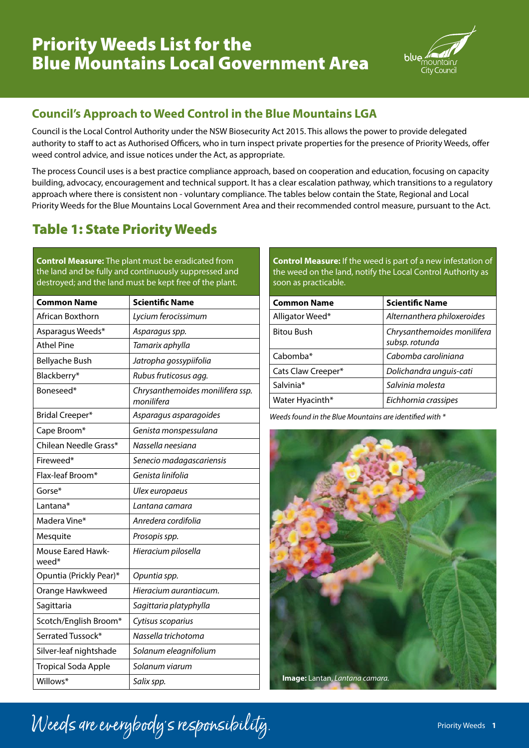

### **Council's Approach to Weed Control in the Blue Mountains LGA**

Council is the Local Control Authority under the NSW Biosecurity Act 2015. This allows the power to provide delegated authority to staff to act as Authorised Officers, who in turn inspect private properties for the presence of Priority Weeds, offer weed control advice, and issue notices under the Act, as appropriate.

The process Council uses is a best practice compliance approach, based on cooperation and education, focusing on capacity building, advocacy, encouragement and technical support. It has a clear escalation pathway, which transitions to a regulatory approach where there is consistent non - voluntary compliance. The tables below contain the State, Regional and Local Priority Weeds for the Blue Mountains Local Government Area and their recommended control measure, pursuant to the Act.

### Table 1: State Priority Weeds

**Control Measure:** The plant must be eradicated from the land and be fully and continuously suppressed and destroyed; and the land must be kept free of the plant.

| <b>Common Name</b>                | <b>Scientific Name</b>                         |
|-----------------------------------|------------------------------------------------|
| African Boxthorn                  | Lycium ferocissimum                            |
| Asparagus Weeds*                  | Asparagus spp.                                 |
| <b>Athel Pine</b>                 | Tamarix aphylla                                |
| <b>Bellyache Bush</b>             | Jatropha gossypiifolia                         |
| Blackberry*                       | Rubus fruticosus agg.                          |
| Boneseed*                         | Chrysanthemoides monilifera ssp.<br>monilifera |
| Bridal Creeper*                   | Asparagus asparagoides                         |
| Cape Broom*                       | Genista monspessulana                          |
| Chilean Needle Grass*             | Nassella neesiana                              |
| Fireweed*                         | Senecio madagascariensis                       |
| Flax-leaf Broom*                  | Genista linifolia                              |
| Gorse*                            | Ulex europaeus                                 |
| Lantana*                          | Lantana camara                                 |
| Madera Vine*                      | Anredera cordifolia                            |
| Mesquite                          | Prosopis spp.                                  |
| <b>Mouse Eared Hawk-</b><br>weed* | Hieracium pilosella                            |
| Opuntia (Prickly Pear)*           | Opuntia spp.                                   |
| Orange Hawkweed                   | Hieracium aurantiacum.                         |
| Sagittaria                        | Sagittaria platyphylla                         |
| Scotch/English Broom*             | Cytisus scoparius                              |
| Serrated Tussock*                 | Nassella trichotoma                            |
| Silver-leaf nightshade            | Solanum eleagnifolium                          |
| <b>Tropical Soda Apple</b>        | Solanum viarum                                 |
| Willows*                          | Salix spp.                                     |

**Control Measure:** If the weed is part of a new infestation of the weed on the land, notify the Local Control Authority as soon as practicable.

| <b>Common Name</b> | <b>Scientific Name</b>                        |
|--------------------|-----------------------------------------------|
| Alligator Weed*    | Alternanthera philoxeroides                   |
| <b>Bitou Bush</b>  | Chrysanthemoides monilifera<br>subsp. rotunda |
| Cabomba*           | Cabomba caroliniana                           |
| Cats Claw Creeper* | Dolichandra unguis-cati                       |
| Salvinia*          | Salvinia molesta                              |
| Water Hyacinth*    | Eichhornia crassipes                          |

*Weeds found in the Blue Mountains are identified with \**



Weeds are everybody's responsibility. Priority Weeds 1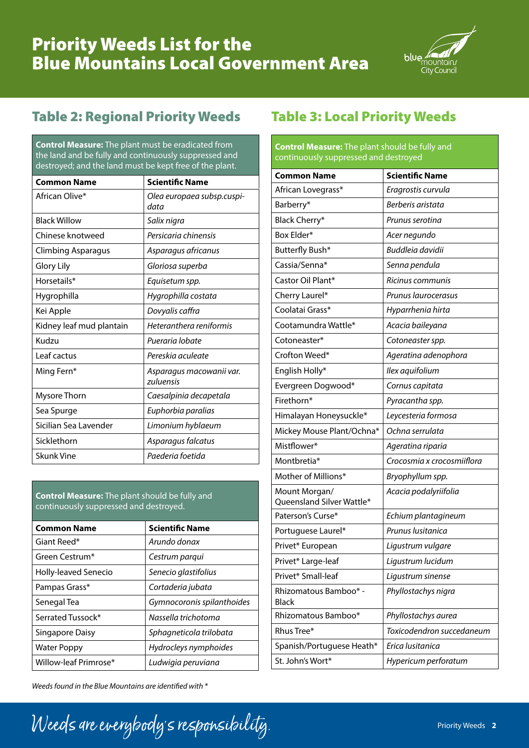

# Table 2: Regional Priority Weeds

#### **Control Measure:** The plant must be eradicated from the land and be fully and continuously suppressed and destroyed; and the land must be kept free of the plant.

| <b>Common Name</b>        | <b>Scientific Name</b>                |
|---------------------------|---------------------------------------|
| African Olive*            | Olea europaea subsp.cuspi-<br>data    |
| <b>Black Willow</b>       | Salix nigra                           |
| Chinese knotweed          | Persicaria chinensis                  |
| <b>Climbing Asparagus</b> | Asparagus africanus                   |
| Glory Lily                | Gloriosa superba                      |
| Horsetails*               | Equisetum spp.                        |
| Hygrophilla               | Hygrophilla costata                   |
| Kei Apple                 | Dovyalis caffra                       |
| Kidney leaf mud plantain  | Heteranthera reniformis               |
| Kudzu                     | Pueraria lobate                       |
| Leaf cactus               | Pereskia aculeate                     |
| Ming Fern*                | Asparagus macowanii var.<br>zuluensis |
| Mysore Thorn              | Caesalpinia decapetala                |
| Sea Spurge                | Euphorbia paralias                    |
| Sicilian Sea Lavender     | Limonium hyblaeum                     |
| Sicklethorn               | Asparagus falcatus                    |
| <b>Skunk Vine</b>         | Paederia foetida                      |

#### **Control Measure:** The plant should be fully and continuously suppressed and destroyed.

| <b>Common Name</b>    | <b>Scientific Name</b>     |
|-----------------------|----------------------------|
| Giant Reed*           | Arundo donax               |
| Green Cestrum*        | Cestrum parqui             |
| Holly-leaved Senecio  | Senecio glastifolius       |
| Pampas Grass*         | Cortaderia jubata          |
| Senegal Tea           | Gymnocoronis spilanthoides |
| Serrated Tussock*     | Nassella trichotoma        |
| Singapore Daisy       | Sphagneticola trilobata    |
| <b>Water Poppy</b>    | Hydrocleys nymphoides      |
| Willow-leaf Primrose* | Ludwigia peruviana         |

*Weeds found in the Blue Mountains are identified with \**

# Table 3: Local Priority Weeds

| <b>Control Measure:</b> The plant should be fully and<br>continuously suppressed and destroyed |                            |
|------------------------------------------------------------------------------------------------|----------------------------|
| <b>Common Name</b>                                                                             | <b>Scientific Name</b>     |
| African Lovegrass*                                                                             | Eragrostis curvula         |
| Barberry*                                                                                      | Berberis aristata          |
| Black Cherry*                                                                                  | Prunus serotina            |
| Box Elder*                                                                                     | Acer negundo               |
| Butterfly Bush*                                                                                | Buddleia davidii           |
| Cassia/Senna*                                                                                  | Senna pendula              |
| Castor Oil Plant*                                                                              | Ricinus communis           |
| Cherry Laurel*                                                                                 | Prunus laurocerasus        |
| Coolatai Grass*                                                                                | Hyparrhenia hirta          |
| Cootamundra Wattle*                                                                            | Acacia baileyana           |
| Cotoneaster*                                                                                   | Cotoneaster spp.           |
| Crofton Weed*                                                                                  | Ageratina adenophora       |
| English Holly*                                                                                 | Ilex aquifolium            |
| Evergreen Dogwood*                                                                             | Cornus capitata            |
| Firethorn*                                                                                     | Pyracantha spp.            |
| Himalayan Honeysuckle*                                                                         | Leycesteria formosa        |
| Mickey Mouse Plant/Ochna*                                                                      | Ochna serrulata            |
| Mistflower*                                                                                    | Ageratina riparia          |
| Montbretia*                                                                                    | Crocosmia x crocosmiiflora |
| Mother of Millions*                                                                            | Bryophyllum spp.           |
| Mount Morgan/<br>Queensland Silver Wattle*                                                     | Acacia podalyriifolia      |
| Paterson's Curse*                                                                              | Echium plantagineum        |
| Portuguese Laurel*                                                                             | Prunus Iusitanica          |
| Privet* European                                                                               | Ligustrum vulgare          |
| Privet* Large-leaf                                                                             | Ligustrum lucidum          |
| Privet* Small-leaf                                                                             | Ligustrum sinense          |
| Rhizomatous Bamboo* -<br><b>Black</b>                                                          | Phyllostachys nigra        |
| Rhizomatous Bamboo*                                                                            | Phyllostachys aurea        |
| Rhus Tree*                                                                                     | Toxicodendron succedaneum  |
| Spanish/Portuguese Heath*                                                                      | Erica lusitanica           |
| St. John's Wort*                                                                               | Hypericum perforatum       |

Weeds are everybody's responsibility. Priority Weeds 2